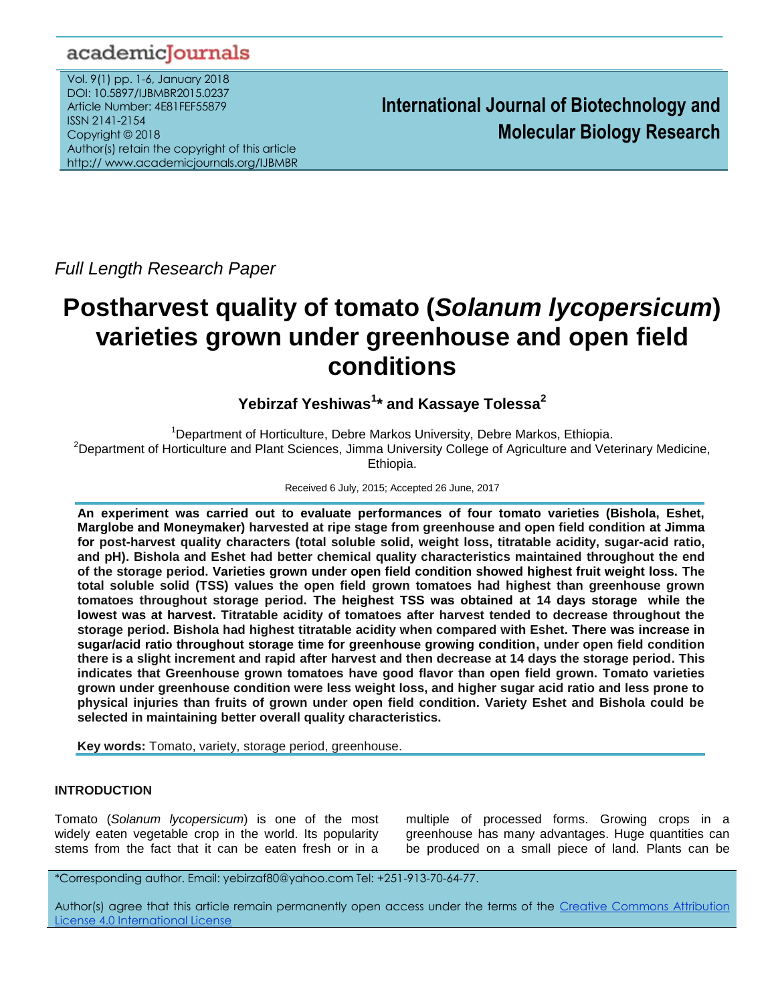# academicJournals

Vol. 9(1) pp. 1-6, January 2018 DOI: 10.5897/IJBMBR2015.0237 Article Number: 4E81FEF55879 ISSN 2141-2154 Copyright © 2018 Author(s) retain the copyright of this article http:// www.academicjournals.org/IJBMBR

**International Journal of Biotechnology and Molecular Biology Research** 

*Full Length Research Paper* 

# **Postharvest quality of tomato (***Solanum lycopersicum***) varieties grown under greenhouse and open field conditions**

# **Yebirzaf Yeshiwas<sup>1</sup> \* and Kassaye Tolessa<sup>2</sup>**

<sup>1</sup>Department of Horticulture, Debre Markos University, Debre Markos, Ethiopia.

<sup>2</sup>Department of Horticulture and Plant Sciences, Jimma University College of Agriculture and Veterinary Medicine, Ethiopia.

#### Received 6 July, 2015; Accepted 26 June, 2017

**An experiment was carried out to evaluate performances of four tomato varieties (Bishola, Eshet, Marglobe and Moneymaker) harvested at ripe stage from greenhouse and open field condition at Jimma for post-harvest quality characters (total soluble solid, weight loss, titratable acidity, sugar-acid ratio, and pH). Bishola and Eshet had better chemical quality characteristics maintained throughout the end of the storage period. Varieties grown under open field condition showed highest fruit weight loss. The total soluble solid (TSS) values the open field grown tomatoes had highest than greenhouse grown tomatoes throughout storage period. The heighest TSS was obtained at 14 days storage while the lowest was at harvest. Titratable acidity of tomatoes after harvest tended to decrease throughout the storage period. Bishola had highest titratable acidity when compared with Eshet. There was increase in sugar/acid ratio throughout storage time for greenhouse growing condition, under open field condition there is a slight increment and rapid after harvest and then decrease at 14 days the storage period. This indicates that Greenhouse grown tomatoes have good flavor than open field grown. Tomato varieties grown under greenhouse condition were less weight loss, and higher sugar acid ratio and less prone to physical injuries than fruits of grown under open field condition. Variety Eshet and Bishola could be selected in maintaining better overall quality characteristics.**

**Key words:** Tomato, variety, storage period, greenhouse.

# **INTRODUCTION**

Tomato (*Solanum lycopersicum*) is one of the most widely eaten vegetable crop in the world. Its popularity stems from the fact that it can be eaten fresh or in a multiple of processed forms. Growing crops in a greenhouse has many advantages. Huge quantities can be produced on a small piece of land. Plants can be

\*Corresponding author. Email: yebirzaf80@yahoo.com Tel: +251-913-70-64-77.

Author(s) agree that this article remain permanently open access under the terms of the Creative Commons Attribution [License 4.0 International License](http://creativecommons.org/licenses/by/4.0/deed.en_US)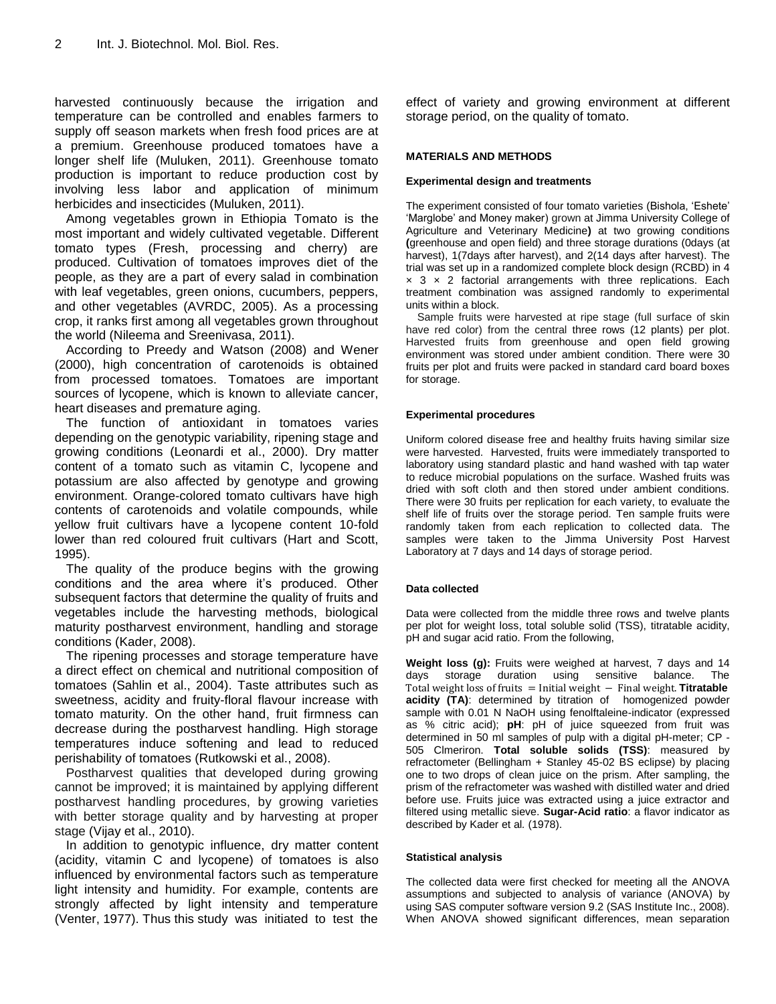harvested continuously because the irrigation and temperature can be controlled and enables farmers to supply off season markets when fresh food prices are at a premium. Greenhouse produced tomatoes have a longer shelf life (Muluken, 2011). Greenhouse tomato production is important to reduce production cost by involving less labor and application of minimum herbicides and insecticides (Muluken, 2011).

Among vegetables grown in Ethiopia Tomato is the most important and widely cultivated vegetable. Different tomato types (Fresh, processing and cherry) are produced. Cultivation of tomatoes improves diet of the people, as they are a part of every salad in combination with leaf vegetables, green onions, cucumbers, peppers, and other vegetables (AVRDC, 2005). As a processing crop, it ranks first among all vegetables grown throughout the world (Nileema and Sreenivasa, 2011).

According to Preedy and Watson (2008) and Wener (2000), high concentration of carotenoids is obtained from processed tomatoes. Tomatoes are important sources of lycopene, which is known to alleviate cancer, heart diseases and premature aging.

The function of antioxidant in tomatoes varies depending on the genotypic variability, ripening stage and growing conditions (Leonardi et al., 2000). Dry matter content of a tomato such as vitamin C, lycopene and potassium are also affected by genotype and growing environment. Orange-colored tomato cultivars have high contents of carotenoids and volatile compounds, while yellow fruit cultivars have a lycopene content 10-fold lower than red coloured fruit cultivars (Hart and Scott, 1995).

The quality of the produce begins with the growing conditions and the area where it's produced. Other subsequent factors that determine the quality of fruits and vegetables include the harvesting methods, biological maturity postharvest environment, handling and storage conditions (Kader, 2008).

The ripening processes and storage temperature have a direct effect on chemical and nutritional composition of tomatoes (Sahlin et al., 2004). Taste attributes such as sweetness, acidity and fruity-floral flavour increase with tomato maturity. On the other hand, fruit firmness can decrease during the postharvest handling. High storage temperatures induce softening and lead to reduced perishability of tomatoes (Rutkowski et al., 2008).

Postharvest qualities that developed during growing cannot be improved; it is maintained by applying different postharvest handling procedures, by growing varieties with better storage quality and by harvesting at proper stage (Vijay et al., 2010).

In addition to genotypic influence, dry matter content (acidity, vitamin C and lycopene) of tomatoes is also influenced by environmental factors such as temperature light intensity and humidity. For example, contents are strongly affected by light intensity and temperature (Venter, 1977). Thus this study was initiated to test the

effect of variety and growing environment at different storage period, on the quality of tomato.

### **MATERIALS AND METHODS**

#### **Experimental design and treatments**

The experiment consisted of four tomato varieties (Bishola, 'Eshete' 'Marglobe' and Money maker) grown at Jimma University College of Agriculture and Veterinary Medicine**)** at two growing conditions **(**greenhouse and open field) and three storage durations (0days (at harvest), 1(7days after harvest), and 2(14 days after harvest). The trial was set up in a randomized complete block design (RCBD) in 4  $\times$  3  $\times$  2 factorial arrangements with three replications. Each treatment combination was assigned randomly to experimental units within a block.

Sample fruits were harvested at ripe stage (full surface of skin have red color) from the central three rows (12 plants) per plot. Harvested fruits from greenhouse and open field growing environment was stored under ambient condition. There were 30 fruits per plot and fruits were packed in standard card board boxes for storage.

#### **Experimental procedures**

Uniform colored disease free and healthy fruits having similar size were harvested. Harvested, fruits were immediately transported to laboratory using standard plastic and hand washed with tap water to reduce microbial populations on the surface. Washed fruits was dried with soft cloth and then stored under ambient conditions. There were 30 fruits per replication for each variety, to evaluate the shelf life of fruits over the storage period. Ten sample fruits were randomly taken from each replication to collected data. The samples were taken to the Jimma University Post Harvest Laboratory at 7 days and 14 days of storage period.

#### **Data collected**

Data were collected from the middle three rows and twelve plants per plot for weight loss, total soluble solid (TSS), titratable acidity, pH and sugar acid ratio. From the following,

**Weight loss (g):** Fruits were weighed at harvest, 7 days and 14 days storage duration using sensitive balance. The Total weight loss of fruits  $=$  Initial weight  $-$  Final weight. **Titratable** acidity (TA): determined by titration of homogenized powder sample with 0.01 N NaOH using fenolftaleine-indicator (expressed as % citric acid); **pH**: pH of juice squeezed from fruit was determined in 50 ml samples of pulp with a digital pH-meter; CP - 505 Clmeriron. **Total soluble solids (TSS)**: measured by refractometer (Bellingham + Stanley 45-02 BS eclipse) by placing one to two drops of clean juice on the prism. After sampling, the prism of the refractometer was washed with distilled water and dried before use. Fruits juice was extracted using a juice extractor and filtered using metallic sieve. **Sugar-Acid ratio**: a flavor indicator as described by Kader et al*.* (1978).

#### **Statistical analysis**

The collected data were first checked for meeting all the ANOVA assumptions and subjected to analysis of variance (ANOVA) by using SAS computer software version 9.2 (SAS Institute Inc., 2008). When ANOVA showed significant differences, mean separation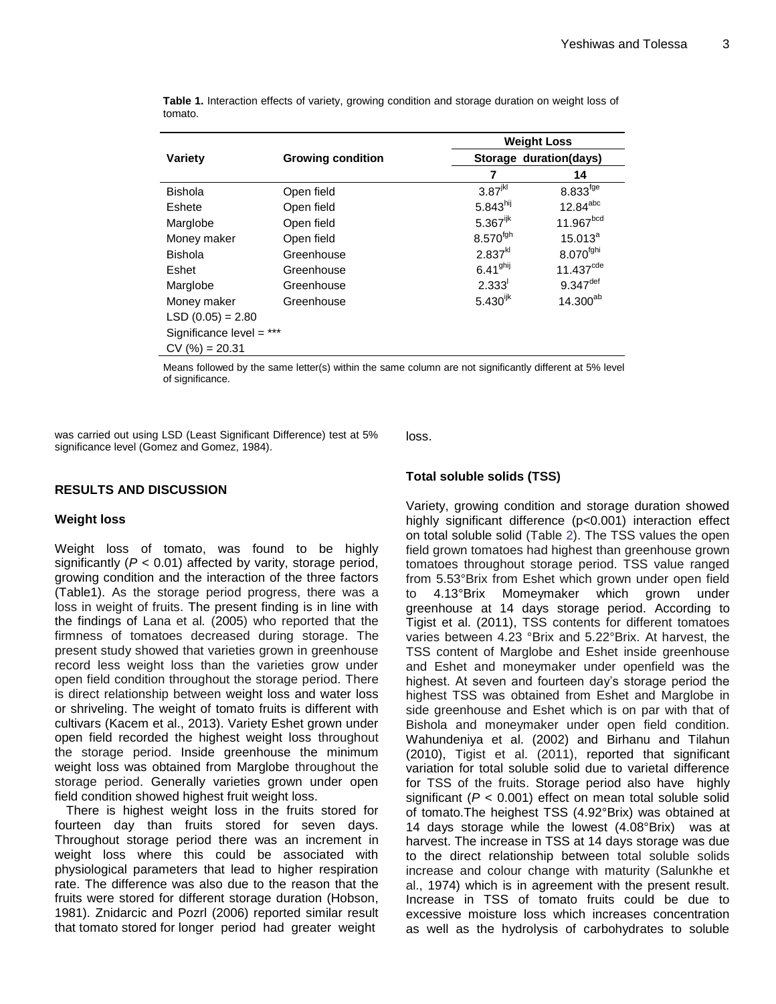|                          | <b>Growing condition</b> | <b>Weight Loss</b><br>Storage duration(days) |                        |  |
|--------------------------|--------------------------|----------------------------------------------|------------------------|--|
| Variety                  |                          |                                              |                        |  |
|                          |                          | 7                                            | 14                     |  |
| <b>Bishola</b>           | Open field               | $3.87$ <sup>jkl</sup>                        | $8.833^{fge}$          |  |
| Eshete                   | Open field               | $5.843$ <sup>hij</sup>                       | $12.84$ <sup>abc</sup> |  |
| Marglobe                 | Open field               | $5.367$ <sup>ijk</sup>                       | 11.967bcd              |  |
| Money maker              | Open field               | $8.570^{fgh}$                                | $15.013^{a}$           |  |
| <b>Bishola</b>           | Greenhouse               | $2.837^{kl}$                                 | $8.070^{fghi}$         |  |
| Eshet                    | Greenhouse               | 6.41 <sup>ghij</sup>                         | $11.437^{cde}$         |  |
| Marglobe                 | Greenhouse               | $2.333^{\circ}$                              | $9.347$ <sup>def</sup> |  |
| Money maker              | Greenhouse               | $5.430$ <sup>ijk</sup>                       | 14.300 <sup>ab</sup>   |  |
| $LSD (0.05) = 2.80$      |                          |                                              |                        |  |
| Significance level = *** |                          |                                              |                        |  |
| $CV(%) = 20.31$          |                          |                                              |                        |  |

**Table 1.** Interaction effects of variety, growing condition and storage duration on weight loss of tomato.

Means followed by the same letter(s) within the same column are not significantly different at 5% level of significance.

was carried out using LSD (Least Significant Difference) test at 5% significance level (Gomez and Gomez, 1984).

loss.

# **RESULTS AND DISCUSSION**

#### **Weight loss**

Weight loss of tomato, was found to be highly significantly (*P* < 0.01) affected by varity, storage period, growing condition and the interaction of the three factors (Table1). As the storage period progress, there was a loss in weight of fruits. The present finding is in line with the findings of Lana et al*.* (2005) who reported that the firmness of tomatoes decreased during storage. The present study showed that varieties grown in greenhouse record less weight loss than the varieties grow under open field condition throughout the storage period. There is direct relationship between weight loss and water loss or shriveling. The weight of tomato fruits is different with cultivars (Kacem et al., 2013). Variety Eshet grown under open field recorded the highest weight loss throughout the storage period. Inside greenhouse the minimum weight loss was obtained from Marglobe throughout the storage period. Generally varieties grown under open field condition showed highest fruit weight loss.

There is highest weight loss in the fruits stored for fourteen day than fruits stored for seven days. Throughout storage period there was an increment in weight loss where this could be associated with physiological parameters that lead to higher respiration rate. The difference was also due to the reason that the fruits were stored for different storage duration (Hobson, 1981). Znidarcic and Pozrl (2006) reported similar result that tomato stored for longer period had greater weight

# **Total soluble solids (TSS)**

Variety, growing condition and storage duration showed highly significant difference (p<0.001) interaction effect on total soluble solid (Table 2). The TSS values the open field grown tomatoes had highest than greenhouse grown tomatoes throughout storage period. TSS value ranged from 5.53°Brix from Eshet which grown under open field to 4.13°Brix Momeymaker which grown under greenhouse at 14 days storage period. According to Tigist et al. (2011), TSS contents for different tomatoes varies between 4.23 °Brix and 5.22°Brix. At harvest, the TSS content of Marglobe and Eshet inside greenhouse and Eshet and moneymaker under openfield was the highest. At seven and fourteen day's storage period the highest TSS was obtained from Eshet and Marglobe in side greenhouse and Eshet which is on par with that of Bishola and moneymaker under open field condition. Wahundeniya et al. (2002) and Birhanu and Tilahun (2010), Tigist et al. (2011), reported that significant variation for total soluble solid due to varietal difference for TSS of the fruits. Storage period also have highly significant (*P* < 0.001) effect on mean total soluble solid of tomato.The heighest TSS (4.92°Brix) was obtained at 14 days storage while the lowest (4.08°Brix) was at harvest. The increase in TSS at 14 days storage was due to the direct relationship between total soluble solids increase and colour change with maturity (Salunkhe et al., 1974) which is in agreement with the present result. Increase in TSS of tomato fruits could be due to excessive moisture loss which increases concentration as well as the hydrolysis of carbohydrates to soluble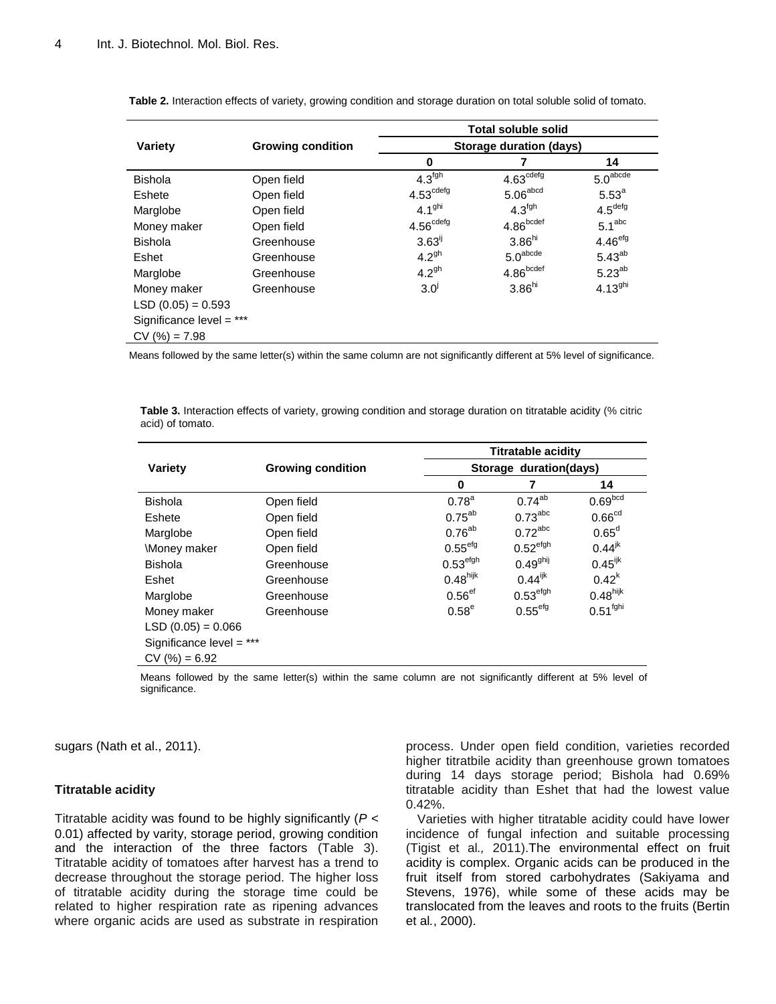|                          |                          | <b>Total soluble solid</b><br><b>Storage duration (days)</b> |                       |                      |
|--------------------------|--------------------------|--------------------------------------------------------------|-----------------------|----------------------|
| Variety                  | <b>Growing condition</b> |                                                              |                       |                      |
|                          |                          | 0                                                            | 7                     | 14                   |
| <b>Bishola</b>           | Open field               | 4.3 <sup>fgh</sup>                                           | 4.63 <sup>cdefg</sup> | 5.0 <sup>abcde</sup> |
| Eshete                   | Open field               | $4.53^{\text{cdefg}}$                                        | $5.06$ abcd           | $5.53^{a}$           |
| Marglobe                 | Open field               | 4.1 <sup>ghi</sup>                                           | 4.3 <sup>fgh</sup>    | 4.5 <sup>defg</sup>  |
| Money maker              | Open field               | 4.56 <sup>cdefg</sup>                                        | 4.86 <sup>bcdef</sup> | 5.1 <sup>abc</sup>   |
| <b>Bishola</b>           | Greenhouse               | $3.63^{ij}$                                                  | 3.86 <sup>hi</sup>    | 4.46 <sup>erg</sup>  |
| Eshet                    | Greenhouse               | 4.2 <sup>gh</sup>                                            | 5.0 <sup>abcde</sup>  | $5.43^{ab}$          |
| Marglobe                 | Greenhouse               | 4.2 <sup>gh</sup>                                            | 4.86 <sup>bcdef</sup> | $5.23^{ab}$          |
| Money maker              | Greenhouse               | 3.0 <sup>1</sup>                                             | 3.86 <sup>hi</sup>    | 4.13 <sup>ghi</sup>  |
| $LSD(0.05) = 0.593$      |                          |                                                              |                       |                      |
| Significance level = *** |                          |                                                              |                       |                      |
| $CV(%) = 7.98$           |                          |                                                              |                       |                      |

**Table 2.** Interaction effects of variety, growing condition and storage duration on total soluble solid of tomato.

Means followed by the same letter(s) within the same column are not significantly different at 5% level of significance.

**Table 3.** Interaction effects of variety, growing condition and storage duration on titratable acidity (% citric acid) of tomato.

|                          | <b>Titratable acidity</b> |                        |                        |                       |
|--------------------------|---------------------------|------------------------|------------------------|-----------------------|
| Variety                  | <b>Growing condition</b>  |                        | Storage duration(days) |                       |
|                          |                           | 0                      | 7                      | 14                    |
| <b>Bishola</b>           | Open field                | $0.78^{a}$             | $0.74^{ab}$            | 0.69 <sup>bcd</sup>   |
| Eshete                   | Open field                | $0.75^{ab}$            | $0.73$ <sup>abc</sup>  | 0.66 <sup>cd</sup>    |
| Marglobe                 | Open field                | $0.76^{ab}$            | $0.72$ <sup>abc</sup>  | 0.65 <sup>d</sup>     |
| Money maker              | Open field                | $0.55$ <sup>efg</sup>  | $0.52$ <sup>efgh</sup> | $0.44^{jk}$           |
| <b>Bishola</b>           | Greenhouse                | $0.53$ <sup>efgh</sup> | 0.49 <sup>ghij</sup>   | $0.45$ <sup>ijk</sup> |
| Eshet                    | Greenhouse                | $0.48$ hijk            | $0.44$ <sup>ijk</sup>  | $0.42^{k}$            |
| Marglobe                 | Greenhouse                | $0.56$ <sup>ef</sup>   | $0.53$ <sup>efgh</sup> | $0.48$ hijk           |
| Money maker              | Greenhouse                | $0.58^{\circ}$         | $0.55$ <sup>efg</sup>  | 0.51 <sup>fghi</sup>  |
| $LSD(0.05) = 0.066$      |                           |                        |                        |                       |
| Significance level = *** |                           |                        |                        |                       |
| $CV(%) = 6.92$           |                           |                        |                        |                       |
|                          |                           |                        |                        |                       |

Means followed by the same letter(s) within the same column are not significantly different at 5% level of significance.

sugars (Nath et al., 2011).

#### **Titratable acidity**

Titratable acidity was found to be highly significantly (*P* < 0.01) affected by varity, storage period, growing condition and the interaction of the three factors (Table 3). Titratable acidity of tomatoes after harvest has a trend to decrease throughout the storage period. The higher loss of titratable acidity during the storage time could be related to higher respiration rate as ripening advances where organic acids are used as substrate in respiration

process. Under open field condition, varieties recorded higher titratbile acidity than greenhouse grown tomatoes during 14 days storage period; Bishola had 0.69% titratable acidity than Eshet that had the lowest value 0.42%.

Varieties with higher titratable acidity could have lower incidence of fungal infection and suitable processing (Tigist et al*.,* 2011).The environmental effect on fruit acidity is complex. Organic acids can be produced in the fruit itself from stored carbohydrates (Sakiyama and Stevens, 1976), while some of these acids may be translocated from the leaves and roots to the fruits (Bertin et al*.*, 2000).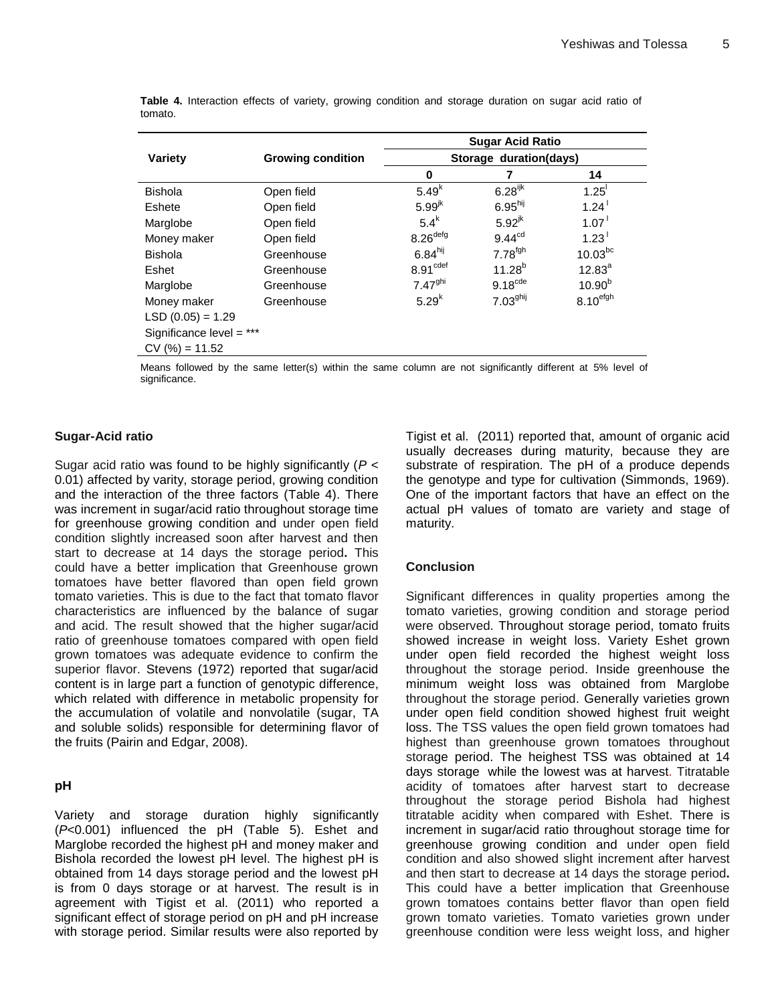|                          |                                                    | <b>Sugar Acid Ratio</b> |                       |                       |
|--------------------------|----------------------------------------------------|-------------------------|-----------------------|-----------------------|
| <b>Variety</b>           | Storage duration(days)<br><b>Growing condition</b> |                         |                       |                       |
|                          |                                                    | 0                       | 7                     | 14                    |
| <b>Bishola</b>           | Open field                                         | $5.49^{k}$              | $6.28$ <sup>ijk</sup> | $1.25^{\circ}$        |
| Eshete                   | Open field                                         | $5.99$ <sup>jk</sup>    | 6.95 <sup>hij</sup>   | $1.24$ <sup>1</sup>   |
| Marglobe                 | Open field                                         | $5.4^k$                 | $5.92^{jk}$           | $1.07$ <sup>1</sup>   |
| Money maker              | Open field                                         | $8.26$ <sup>defg</sup>  | 9.44 <sup>cd</sup>    | $1.23$ <sup>1</sup>   |
| <b>Bishola</b>           | Greenhouse                                         | 6.84 <sup>hij</sup>     | 7.78 <sup>fgh</sup>   | $10.03$ <sub>bc</sub> |
| Eshet                    | Greenhouse                                         | 8.91 <sup>cdef</sup>    | $11.28^{b}$           | $12.83^{a}$           |
| Marglobe                 | Greenhouse                                         | $7.47$ <sup>ghi</sup>   | 9.18 <sup>cde</sup>   | $10.90^{b}$           |
| Money maker              | Greenhouse                                         | $5.29^{k}$              | 7.03 <sup>ghij</sup>  | 8.10 <sup>efgh</sup>  |
| $LSD (0.05) = 1.29$      |                                                    |                         |                       |                       |
| Significance level = *** |                                                    |                         |                       |                       |
| $CV(%) = 11.52$          |                                                    |                         |                       |                       |

**Table 4.** Interaction effects of variety, growing condition and storage duration on sugar acid ratio of tomato.

Means followed by the same letter(s) within the same column are not significantly different at 5% level of significance.

# **Sugar-Acid ratio**

Sugar acid ratio was found to be highly significantly (*P* < 0.01) affected by varity, storage period, growing condition and the interaction of the three factors (Table 4). There was increment in sugar/acid ratio throughout storage time for greenhouse growing condition and under open field condition slightly increased soon after harvest and then start to decrease at 14 days the storage period**.** This could have a better implication that Greenhouse grown tomatoes have better flavored than open field grown tomato varieties. This is due to the fact that tomato flavor characteristics are influenced by the balance of sugar and acid. The result showed that the higher sugar/acid ratio of greenhouse tomatoes compared with open field grown tomatoes was adequate evidence to confirm the superior flavor. Stevens (1972) reported that sugar/acid content is in large part a function of genotypic difference, which related with difference in metabolic propensity for the accumulation of volatile and nonvolatile (sugar, TA and soluble solids) responsible for determining flavor of the fruits (Pairin and Edgar, 2008).

# **pH**

Variety and storage duration highly significantly (*P*<0.001) influenced the pH (Table 5). Eshet and Marglobe recorded the highest pH and money maker and Bishola recorded the lowest pH level. The highest pH is obtained from 14 days storage period and the lowest pH is from 0 days storage or at harvest. The result is in agreement with Tigist et al. (2011) who reported a significant effect of storage period on pH and pH increase with storage period. Similar results were also reported by

Tigist et al. (2011) reported that, amount of organic acid usually decreases during maturity, because they are substrate of respiration. The pH of a produce depends the genotype and type for cultivation (Simmonds, 1969). One of the important factors that have an effect on the actual pH values of tomato are variety and stage of maturity.

# **Conclusion**

Significant differences in quality properties among the tomato varieties, growing condition and storage period were observed. Throughout storage period, tomato fruits showed increase in weight loss. Variety Eshet grown under open field recorded the highest weight loss throughout the storage period. Inside greenhouse the minimum weight loss was obtained from Marglobe throughout the storage period. Generally varieties grown under open field condition showed highest fruit weight loss. The TSS values the open field grown tomatoes had highest than greenhouse grown tomatoes throughout storage period. The heighest TSS was obtained at 14 days storage while the lowest was at harvest. Titratable acidity of tomatoes after harvest start to decrease throughout the storage period Bishola had highest titratable acidity when compared with Eshet. There is increment in sugar/acid ratio throughout storage time for greenhouse growing condition and under open field condition and also showed slight increment after harvest and then start to decrease at 14 days the storage period**.**  This could have a better implication that Greenhouse grown tomatoes contains better flavor than open field grown tomato varieties. Tomato varieties grown under greenhouse condition were less weight loss, and higher